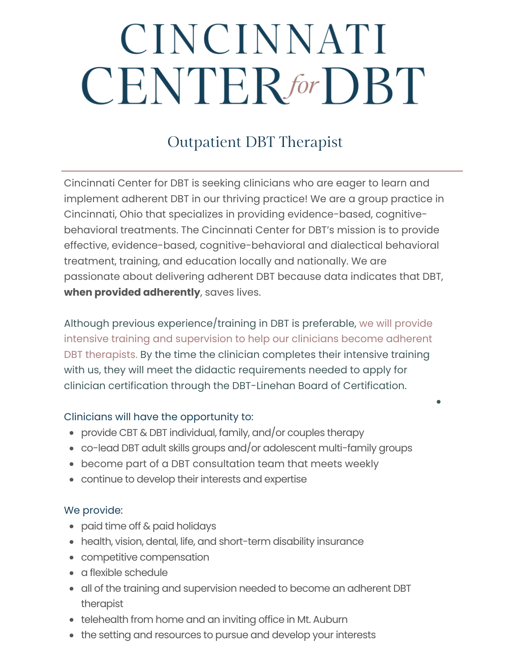# CINCINNATI **CENTER** for **DBT**

## Outpatient DBT Therapist

Cincinnati Center for DBT is seeking clinicians who are eager to learn and implement adherent DBT in our thriving practice! We are a group practice in Cincinnati, Ohio that specializes in providing evidence-based, cognitivebehavioral treatments. The Cincinnati Center for DBT's mission is to provide effective, evidence-based, cognitive-behavioral and dialectical behavioral treatment, training, and education locally and nationally. We are passionate about delivering adherent DBT because data indicates that DBT, **when provided adherently**, saves lives.

Although previous experience/training in DBT is preferable, we will provide intensive training and supervision to help our clinicians become adherent DBT therapists. By the time the clinician completes their intensive training with us, they will meet the didactic requirements needed to apply for clinician certification through the DBT-Linehan Board of Certification.

#### Clinicians will have the opportunity to:

- provide CBT & DBT individual, family, and/or couples therapy
- co-lead DBT adult skills groups and/or adolescent multi-family groups
- become part of a DBT consultation team that meets weekly
- continue to develop their interests and expertise

#### We provide:

- paid time off & paid holidays
- health, vision, dental, life, and short-term disability insurance
- competitive compensation
- a flexible schedule
- all of the training and supervision needed to become an adherent DBT therapist
- telehealth from home and an inviting office in Mt. Auburn
- the setting and resources to pursue and develop your interests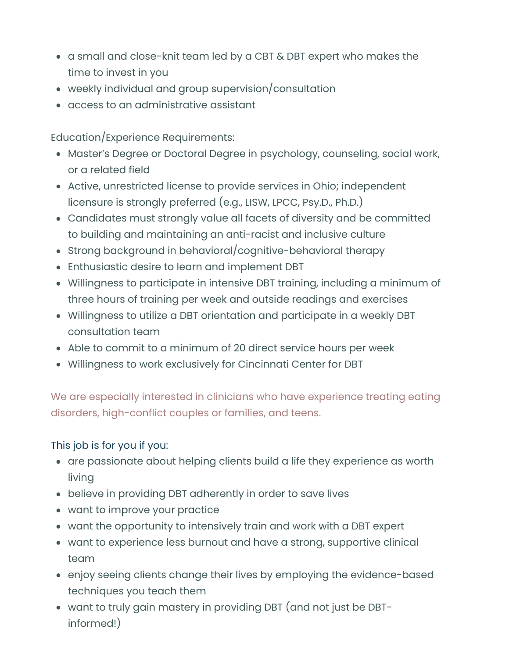- a small and close-knit team led by a CBT & DBT expert who makes the time to invest in you
- weekly individual and group supervision/consultation
- access to an administrative assistant

Education/Experience Requirements:

- Master's Degree or Doctoral Degree in psychology, counseling, social work, or a related field
- Active, unrestricted license to provide services in Ohio; independent licensure is strongly preferred (e.g., LISW, LPCC, Psy.D., Ph.D.)
- Candidates must strongly value all facets of diversity and be committed to building and maintaining an anti-racist and inclusive culture
- Strong background in behavioral/cognitive-behavioral therapy
- Enthusiastic desire to learn and implement DBT
- Willingness to participate in intensive DBT training, including a minimum of three hours of training per week and outside readings and exercises
- Willingness to utilize a DBT orientation and participate in a weekly DBT consultation team
- Able to commit to a minimum of 20 direct service hours per week
- Willingness to work exclusively for Cincinnati Center for DBT

We are especially interested in clinicians who have experience treating eating disorders, high-conflict couples or families, and teens.

### This job is for you if you:

- are passionate about helping clients build a life they experience as worth living
- believe in providing DBT adherently in order to save lives
- want to improve your practice
- want the opportunity to intensively train and work with a DBT expert
- want to experience less burnout and have a strong, supportive clinical team
- enjoy seeing clients change their lives by employing the evidence-based techniques you teach them
- want to truly gain mastery in providing DBT (and not just be DBTinformed!)